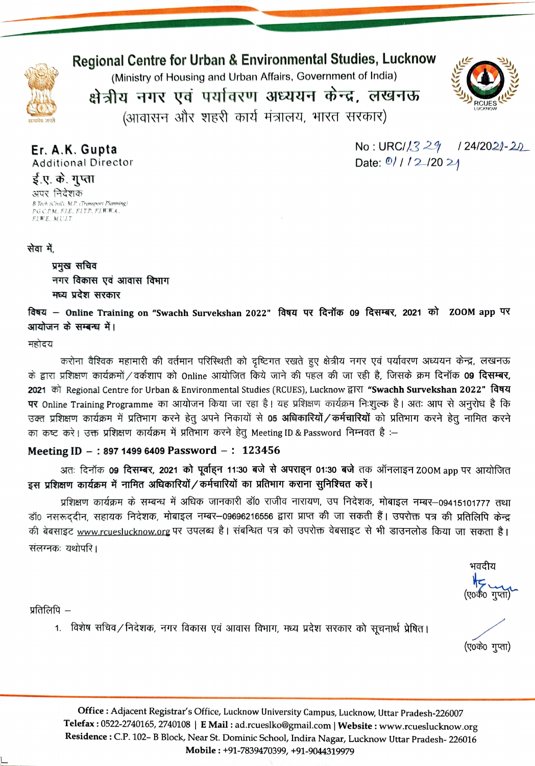

Regional Centre for Urban & Environmental Studies, Luckno

(Ministry of Housing and Urban Affairs, Government of India)

क्षेत्रीय नगर एवं पर्यावरण अध्ययन केन्द्र, लखनऊ



 $No: URC/1329$  1 24/2021-20

Date:  $0/1/2$  /20 21

(आवासन और शहरी कार्य मंत्रालय, भारत सरकार)

Er. A.K. Gupta Additional Director ई.ए. के. गुप्ता अपर निदेशक

B.Tech (Civil), M.P. (Transport Planning<br>P.G.C.P.M., F.I.E., F.I.T.P., F.I.W.W.A., FIBE. M.ULT

सेवा में

प्रमुख सचिव नगर विकास एवं आवास विभाग

मध्य प्रदेश सरकार<br>विषय — Online Training on "Swachh Survekshan 2022" विषय पर दिनॉक 09 दिसम्बर, 2021 को ZOOM app पर आयोजन के सम्बन्ध में।

महोदय

करोना वैश्विक महामारी की वर्तमान परिस्थिती को दृष्टिगत रखते हुए क्षेत्रीय नगर एवं पर्यावरण अध्ययन केन्द्र, लखनऊ के द्वारा प्रशिक्षण कार्यक्रमों / वर्कशाप को Online आयोजित किये जाने की पहल की जा रही है, जिसके क्रम दिनॉक **09 दिसम्बर,**<br>2021 को Regional Centre for Urban & Environmental Studies (RCUES), Lucknow द्वारा **"Swachh Surveksha** उक्त प्रशिक्षण कार्यक्रम में प्रतिभाग करने हेतु अपने निकायों से **05 अधिकारियों / कर्मचारियों** को प्रतिभाग करने हेतु नामित करने<br>का कष्ट करे। उक्त प्रशिक्षण कार्यक्रम में प्रतिभाग करने हेतु Meeting ID & Password निम्नवत है

## Meeting ID -: 897 1499 6409 Password -: 123456

अतः दिनॉक **09 दिसम्बर, 2021 को पूर्वाहन 11:30 बजे से अपराहन 01:30 बजे** तक ऑनलाइन ZOOM app पर आयोजित इस प्रशिक्षण कार्यक्रम में नामित अधिकारियों / कर्मचारियों का प्रतिभाग कराना सुनिश्चित करें।

प्रशिक्षण कार्यक्रम के सम्बन्ध में अधिक जानकारी डॉ0 राजीव नारायण, उप निदेशक, मोबाइल नम्बर–09415101777 तथा डॉ0 नसरूददीन, सहायक निदेशक, मोबाइल नम्बर–09696216556 द्वारा प्राप्त की जा सकती हैं। उपरोक्त पत्र की प्रतिलिपि केन्द्र की बेबसाइट www.rcueslucknow.org पर उपलब्ध है। संबन्धित पत्र को उपरोक्त वेबसाइट से भी डाउनलोड किया जा सकता है। संलग्नकः यथोपरि ।

भवदीय

(ए०के० गुप्ता)

प्रतिलिपि $-$ 

1. विशेष सचिव/निदेशक, नगर विकास एवं आवास विभाग, मध्य प्रदेश सरकार को सूचनार्थ प्रेषित्।

Office: Adjacent Registrar's Office, Lucknow University Campus, Lucknow, Uttar Pradesh-226007 Telefax:0522-2740165, 2740108 | E Mail: ad.rcueslko@gmail.com | Website: www.rcueslucknow.org Residence: C.P. 102- B Block, Near St. Dominic School, Indira Nagar, Lucknow Uttar Pradesh-226016 Mobile: +91-7839470399, +91-9044319979